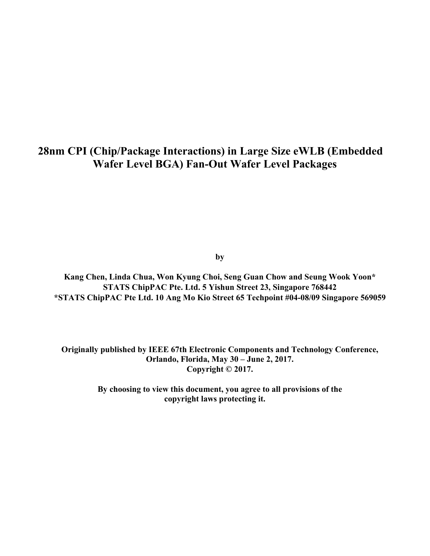# **28nm CPI (Chip/Package Interactions) in Large Size eWLB (Embedded Wafer Level BGA) Fan-Out Wafer Level Packages**

**by** 

**Kang Chen, Linda Chua, Won Kyung Choi, Seng Guan Chow and Seung Wook Yoon\* STATS ChipPAC Pte. Ltd. 5 Yishun Street 23, Singapore 768442 \*STATS ChipPAC Pte Ltd. 10 Ang Mo Kio Street 65 Techpoint #04-08/09 Singapore 569059** 

**Originally published by IEEE 67th Electronic Components and Technology Conference, Orlando, Florida, May 30 – June 2, 2017. Copyright © 2017.** 

> **By choosing to view this document, you agree to all provisions of the copyright laws protecting it.**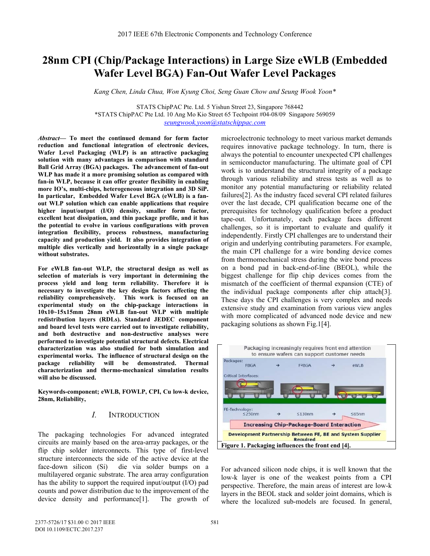# **28nm CPI (Chip/Package Interactions) in Large Size eWLB (Embedded Wafer Level BGA) Fan-Out Wafer Level Packages**

*Kang Chen, Linda Chua, Won Kyung Choi, Seng Guan Chow and Seung Wook Yoon\**

STATS ChipPAC Pte. Ltd. 5 Yishun Street 23, Singapore 768442 \*STATS ChipPAC Pte Ltd. 10 Ang Mo Kio Street 65 Techpoint #04-08/09 Singapore 569059 *seungwook.yoon@statschippac.com*

*Abstract***— To meet the continued demand for form factor reduction and functional integration of electronic devices, Wafer Level Packaging (WLP) is an attractive packaging solution with many advantages in comparison with standard Ball Grid Array (BGA) packages. The advancement of fan-out WLP has made it a more promising solution as compared with fan-in WLP, because it can offer greater flexibility in enabling more IO's, multi-chips, heterogeneous integration and 3D SiP. In particular, Embedded Wafer Level BGA (eWLB) is a fanout WLP solution which can enable applications that require higher input/output (I/O) density, smaller form factor, excellent heat dissipation, and thin package profile, and it has the potential to evolve in various configurations with proven integration flexibility, process robustness, manufacturing capacity and production yield. It also provides integration of multiple dies vertically and horizontally in a single package without substrates.** 

**For eWLB fan-out WLP, the structural design as well as selection of materials is very important in determining the process yield and long term reliability. Therefore it is necessary to investigate the key design factors affecting the reliability comprehensively. This work is focused on an experimental study on the chip-package interactions in 10x10~15x15mm 28nm eWLB fan-out WLP with multiple redistribution layers (RDLs). Standard JEDEC component and board level tests were carried out to investigate reliability, and both destructive and non-destructive analyses were performed to investigate potential structural defects. Electrical characterization was also studied for both simulation and experimental works. The influence of structural design on the package reliability will be demonstrated. Thermal characterization and thermo-mechanical simulation results will also be discussed.** 

**Keywords-component; eWLB, FOWLP, CPI, Cu low-k device, 28nm, Reliability,** 

## *I.* INTRODUCTION

The packaging technologies For advanced integrated circuits are mainly based on the area-array packages, or the flip chip solder interconnects. This type of first-level structure interconnects the side of the active device at the face-down silicon (Si) die via solder bumps on a multilayered organic substrate. The area array configuration has the ability to support the required input/output (I/O) pad counts and power distribution due to the improvement of the device density and performance[1]. The growth of microelectronic technology to meet various market demands requires innovative package technology. In turn, there is always the potential to encounter unexpected CPI challenges in semiconductor manufacturing. The ultimate goal of CPI work is to understand the structural integrity of a package through various reliability and stress tests as well as to monitor any potential manufacturing or reliability related failures[2]. As the industry faced several CPI related failures over the last decade, CPI qualification became one of the prerequisites for technology qualification before a product tape-out. Unfortunately, each package faces different challenges, so it is important to evaluate and qualify it independently. Firstly CPI challenges are to understand their origin and underlying contributing parameters. For example, the main CPI challenge for a wire bonding device comes from thermomechanical stress during the wire bond process on a bond pad in back-end-of-line (BEOL), while the biggest challenge for flip chip devices comes from the mismatch of the coefficient of thermal expansion (CTE) of the individual package components after chip attach[3]. These days the CPI challenges is very complex and needs extensive study and examination from various view angles with more complicated of advanced node device and new packaging solutions as shown Fig.1[4].



For advanced silicon node chips, it is well known that the low-k layer is one of the weakest points from a CPI perspective. Therefore, the main areas of interest are low-k layers in the BEOL stack and solder joint domains, which is where the localized sub-models are focused. In general,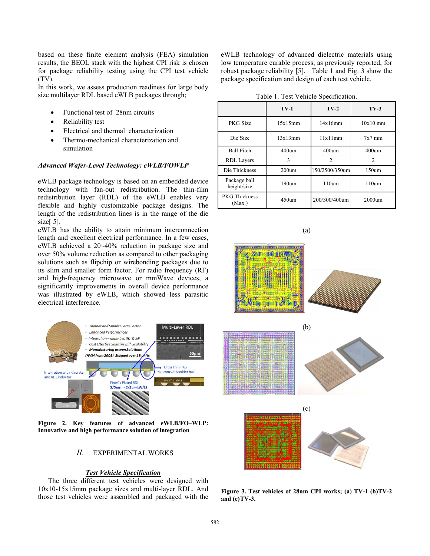based on these finite element analysis (FEA) simulation results, the BEOL stack with the highest CPI risk is chosen for package reliability testing using the CPI test vehicle  $(TV)$ .

In this work, we assess production readiness for large body size multilayer RDL based eWLB packages through;

- Functional test of 28nm circuits
- Reliability test
- Electrical and thermal characterization  $\bullet$
- Thermo-mechanical characterization and simulation

#### **Advanced Wafer-Level Technology: eWLB/FOWLP**

eWLB package technology is based on an embedded device technology with fan-out redistribution. The thin-film redistribution layer (RDL) of the eWLB enables very flexible and highly customizable package designs. The length of the redistribution lines is in the range of the die size<sup>[5]</sup>.

eWLB has the ability to attain minimum interconnection length and excellent electrical performance. In a few cases, eWLB achieved a 20~40% reduction in package size and over 50% volume reduction as compared to other packaging solutions such as flipchip or wirebonding packages due to its slim and smaller form factor. For radio frequency (RF) and high-frequency microwave or mmWave devices, a significantly improvements in overall device performance was illustrated by eWLB, which showed less parasitic electrical interference.



Figure 2. Key features of advanced eWLB/FO-WLP: Innovative and high performance solution of integration

#### $H_{\cdot}$ **EXPERIMENTAL WORKS**

#### **Test Vehicle Specification**

The three different test vehicles were designed with 10x10-15x15mm package sizes and multi-layer RDL. And those test vehicles were assembled and packaged with the eWLB technology of advanced dielectric materials using low temperature curable process, as previously reported, for robust package reliability [5]. Table 1 and Fig. 3 show the package specification and design of each test vehicle.

Table 1. Test Vehicle Specification.

|                                | $TV-1$             | $TV-2$            | $TV-3$            |
|--------------------------------|--------------------|-------------------|-------------------|
| PKG Size                       | 15x15mm            | 14x16mm           | $10x10$ mm        |
| Die Size                       | 11x11mm<br>13x13mm |                   | $7x7$ mm          |
| <b>Ball Pitch</b>              | $400$ um           | 400um             | $400$ um          |
| <b>RDL</b> Layers              | 3                  | 2                 | $\mathfrak{D}$    |
| Die Thickness                  | $200$ um           | 150/2500/350um    | $150$ um          |
| Package ball<br>height/size    | 190 <sub>um</sub>  | 110 <sub>um</sub> | 110 <sub>um</sub> |
| <b>PKG</b> Thickness<br>(Max.) | $450$ um           | 200/300/400um     | 2000um            |





Figure 3. Test vehicles of 28nm CPI works; (a) TV-1 (b)TV-2 and  $(c)$ TV-3.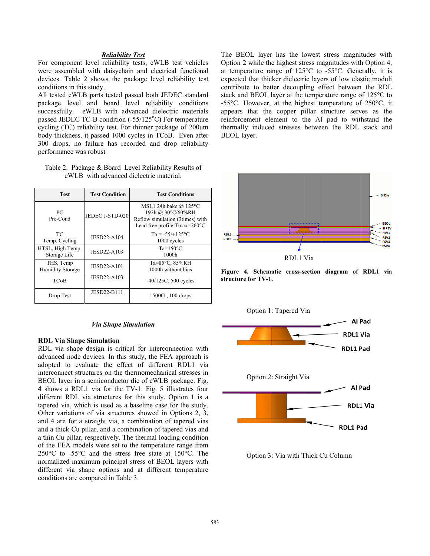#### *Reliabi ility Test*

For component level reliability tests, eWLB test vehicles were assembled with daisychain and electrical functional devices. Table 2 shows the package level reliability test conditions in this study.

All tested eWLB parts tested passed both JEDEC standard package level and board level reliability conditions successfully. eWLB with advanced dielectric materials passed JEDEC TC-B condition (-55/125°C) For temperature cycling (TC) reliability test. For thinner package of 200um body thickness, it passed 1000 cycles in TCoB. Even after 300 drops, no failure has recorded and drop reliability p performance w as robust

|  | Table 2. Package & Board Level Reliability Results of |  |
|--|-------------------------------------------------------|--|
|  | eWLB with advanced dielectric material.               |  |

| Table 2. Package & Board Level Reliability Results of<br>eWLB with advanced dielectric material. |                       |                                                                                                                      |  |  |
|--------------------------------------------------------------------------------------------------|-----------------------|----------------------------------------------------------------------------------------------------------------------|--|--|
| <b>Test</b>                                                                                      | <b>Test Condition</b> | <b>Test Conditions</b>                                                                                               |  |  |
| PC.<br>Pre-Cond                                                                                  | JEDEC J-STD-020       | MSL1 24h bake $\omega$ 125°C<br>192h @ 30°C/60%RH<br>Reflow simulation (3times) with<br>Lead free profile Tmax=260°C |  |  |
| TC.<br>Temp. Cycling                                                                             | <b>JESD22-A104</b>    | $Ta = -55/+125$ °C<br>1000 cycles                                                                                    |  |  |
| HTSL, High Temp.<br>Storage Life                                                                 | JESD22-A103           | $Ta=150^{\circ}C$<br>1000h                                                                                           |  |  |
| THS, Temp<br><b>Humidity Storage</b>                                                             | <b>JESD22-A101</b>    | Ta=85°C, 85%RH<br>1000h without bias                                                                                 |  |  |
| <b>TCoB</b>                                                                                      | JESD22-A103           | $-40/125C$ , 500 cycles                                                                                              |  |  |
| Drop Test                                                                                        | <b>JESD22-B111</b>    | 1500G, 100 drops                                                                                                     |  |  |

### *Via Shape Simulation*

#### **R RDL Via Shap pe Simulation**

RDL via shape design is critical for interconnection with advanced node devices. In this study, the FEA approach is adopted to evaluate the effect of different RDL1 via interconnect structures on the thermomechanical stresses in BEOL layer in a semiconductor die of eWLB package. Fig. 4 4 shows a RD DL1 via for the e TV-1. Fig. 5 5 illustrates fo our different RDL via structures for this study. Option 1 is a tapered via, which is used as a baseline case for the study. Other variations of via structures showed in Options 2, 3, and 4 are for a straight via, a combination of tapered vias and a thick Cu pillar, and a combination of tapered vias and a thin Cu pillar, respectively. The thermal loading condition of the FEA models were set to the temperature range from  $250^{\circ}$ C to  $-55^{\circ}$ C and the stress free state at 150 $^{\circ}$ C. The normalized maximum principal stress of BEOL layers with different via shape options and at different temperature conditions are compared in Table 3.

The BEOL layer has the lowest stress magnitudes with Option 2 while the highest stress magnitudes with Option 4, at temperature range of  $125^{\circ}$ C to -55 $^{\circ}$ C. Generally, it is expected that thicker dielectric layers of low elastic moduli contribute to better decoupling effect between the RDL stack and BEOL layer at the temperature range of 125°C to -55 $^{\circ}$ C. However, at the highest temperature of 250 $^{\circ}$ C, it appears that the copper pillar structure serves as the reinforcement element to the Al pad to withstand the thermally induced stresses between the RDL stack and BEOL layer.



Figure 4. Schematic cross-section diagram of RDL1 via structure for TV-1.



Option 3: Via with Thick Cu Column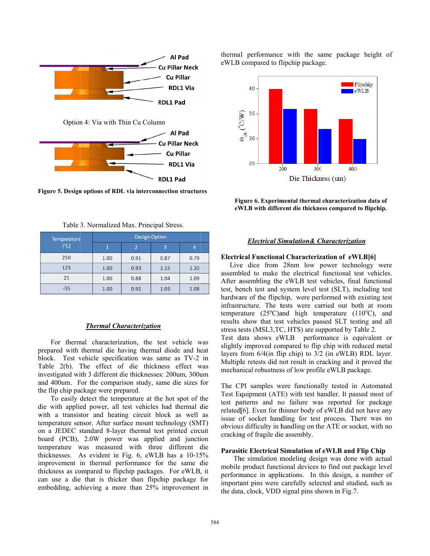

Figure 5. Design options of RDL via interconnection structures

|  |  | Table 3. Normalized Max. Principal Stress. |  |  |  |
|--|--|--------------------------------------------|--|--|--|
|--|--|--------------------------------------------|--|--|--|

| Temperature<br>$(^{\circ}C)$ | <b>Design Option</b> |                |      |      |  |
|------------------------------|----------------------|----------------|------|------|--|
|                              |                      | $\overline{2}$ | 3    | 4    |  |
| 250                          | 1.00                 | 0.91           | 0.87 | 0.79 |  |
| 125                          | 1.00                 | 0.93           | 1.15 | 1.20 |  |
| 25                           | 1.00                 | 0.88           | 1.04 | 1.09 |  |
| $-55$                        | 1.00                 | 0.92           | 1.03 | 1.08 |  |

#### **Thermal Characterization**

For thermal characterization, the test vehicle was prepared with thermal die having thermal diode and heat block. Test vehicle specification was same as TV-2 in Table 2(b). The effect of die thickness effect was investigated with 3 different die thicknesses: 200um, 300um and 400um. For the comparison study, same die sizes for the flip chip package were prepared.

To easily detect the temperature at the hot spot of the die with applied power, all test vehicles had thermal die with a transistor and heating circuit block as well as temperature sensor. After surface mount technology (SMT) on a JEDEC standard 8-layer thermal test printed circuit board (PCB), 2.0W power was applied and junction temperature was measured with three different die thicknesses. As evident in Fig. 6, eWLB has a 10-15% improvement in thermal performance for the same die thickness as compared to flipchip packages. For eWLB, it can use a die that is thicker than flipchip package for embedding, achieving a more than 25% improvement in thermal performance with the same package height of eWLB compared to flipchip package.



Figure 6. Experimental thermal characterization data of eWLB with different die thickness compared to flipchip.

#### **Electrical Simulation & Characterization**

#### **Electrical Functional Characterization of eWLB[6]**

Live dice from 28nm low power technology were assembled to make the electrical functional test vehicles. After assembling the eWLB test vehicles, final functional test, bench test and system level test (SLT), including test hardware of the flipchip, were performed with existing test infrastructure. The tests were carried out both at room temperature  $(25^{\circ}C)$  and high temperature  $(110^{\circ}C)$ , and results show that test vehicles passed SLT testing and all stress tests (MSL3, TC, HTS) are supported by Table 2. Test data shows eWLB performance is equivalent or

slightly improved compared to flip chip with reduced metal layers from  $6/4$ (in flip chip) to  $3/2$  (in eWLB) RDL layer. Multiple retests did not result in cracking and it proved the mechanical robustness of low profile eWLB package.

The CPI samples were functionally tested in Automated Test Equipment (ATE) with test handler. It passed most of test patterns and no failure was reported for package related[6]. Even for thinner body of eWLB did not have any issue of socket handling for test process. There was no obvious difficulty in handling on the ATE or socket, with no cracking of fragile die assembly.

#### Parasitic Electrical Simulation of eWLB and Flip Chip

The simulation modeling design was done with actual mobile product functional devices to find out package level performance in applications. In this design, a number of important pins were carefully selected and studied, such as the data, clock, VDD signal pins shown in Fig.7.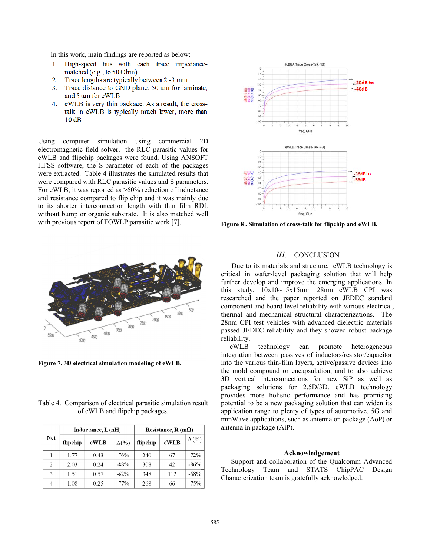In this work, main findings are reported as below:

- 1. High-speed bus with each trace impedancematched (e.g., to 50 Ohm)
- $2.$ Trace lengths are typically between 2 -3 mm
- 3. Trace distance to GND plane: 50 um for laminate, and 5 um for eWLB
- 4. eWLB is very thin package. As a result, the crosstalk in eWLB is typically much lower, more than  $10dB$

Using computer simulation using commercial 2D electromagnetic field solver, the RLC parasitic values for eWLB and flipchip packages were found. Using ANSOFT HFSS software, the S-parameter of each of the packages were extracted. Table 4 illustrates the simulated results that were compared with RLC parasitic values and S parameters. For eWLB, it was reported as  $>60\%$  reduction of inductance and resistance compared to flip chip and it was mainly due to its shorter interconnection length with thin film RDL without bump or organic substrate. It is also matched well with previous report of FOWLP parasitic work [7].



Figure 7. 3D electrical simulation modeling of eWLB.

Table 4. Comparison of electrical parasitic simulation result of eWLB and flipchip packages.

|            | Inductance, L(nH) |      |              | Resistance, R $(m\Omega)$ |      |              |
|------------|-------------------|------|--------------|---------------------------|------|--------------|
| <b>Net</b> | flipchip          | eWLB | $\Delta$ (%) | flipchip                  | eWLB | $\Delta$ (%) |
|            | 1.77              | 0.43 | $-76%$       | 240                       | 67   | $-72%$       |
| 2          | 2.03              | 0.24 | $-88%$       | 308                       | 42   | $-86%$       |
| 3          | 1.51              | 0.57 | $-62\%$      | 348                       | 112  | $-68%$       |
|            | 1.08              | 0.25 | $-77%$       | 268                       | 66   | $-75%$       |



Figure 8. Simulation of cross-talk for flipchip and eWLB.

### III. CONCLUSION

Due to its materials and structure, eWLB technology is critical in wafer-level packaging solution that will help further develop and improve the emerging applications. In this study,  $10x10~15x15$ mm  $28nm$  eWLB CPI was researched and the paper reported on JEDEC standard component and board level reliability with various electrical, thermal and mechanical structural characterizations. The 28nm CPI test vehicles with advanced dielectric materials passed JEDEC reliability and they showed robust package reliabil lity.

 eWL integration between passives of inductors/resistor/capacitor into the various thin-film layers, active/passive devices into the mold compound or encapsulation, and to also achieve 3D vertical interconnections for new SiP as well as packaging solutions for 2.5D/3D. eWLB technology provides more holistic performance and has promising potential to be a new packaging solution that can widen its application range to plenty of types of automotive, 5G and mmWave applications, such as antenna on package (AoP) or antenna a in package (A AiP). technology ogy can p promote hete heterogeneous

### **Acknowledg ement**

Support and collaboration of the Qualcomm Advanced Technology Team and STATS ChipPAC Design Characterization team is gratefully acknowledged.